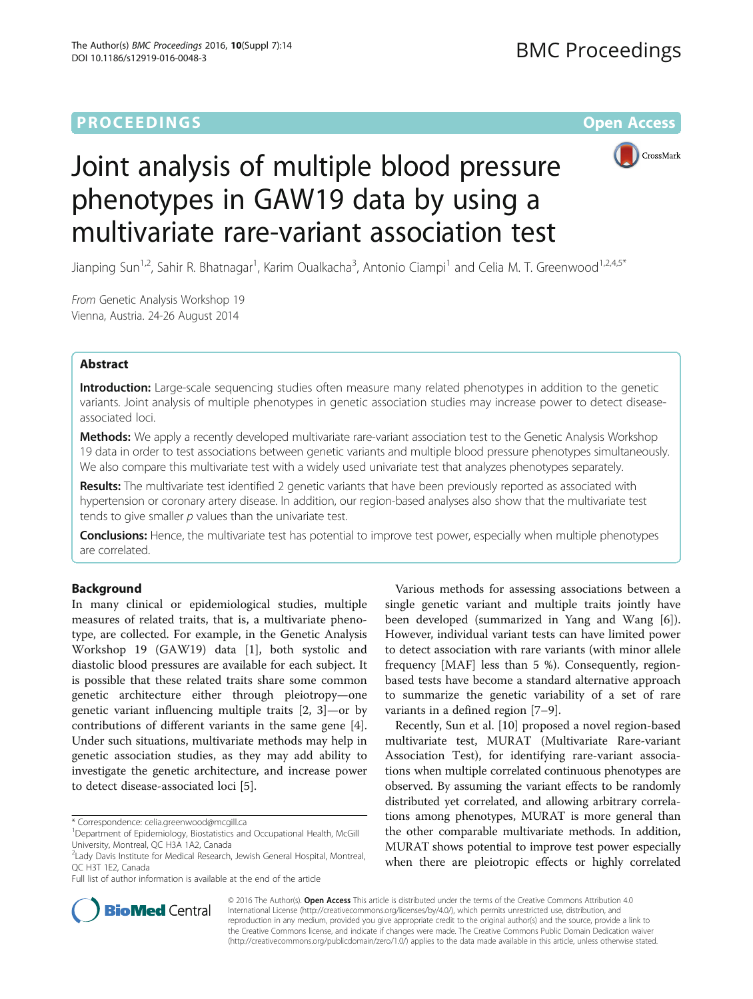## **PROCEEDINGS CONSUMING SECTION CONSUMING SECTION CONSUMING SECTION CONSUMING SECTION CONSUMING SECTION CONSUMING SECTION CONSUMING SECTION CONSUMING SECTION CONSUMING SECTION CONSUMING SECTION CONSUMING SECTION CONSUMING**



# Joint analysis of multiple blood pressure phenotypes in GAW19 data by using a multivariate rare-variant association test

Jianping Sun<sup>1,2</sup>, Sahir R. Bhatnagar<sup>1</sup>, Karim Oualkacha<sup>3</sup>, Antonio Ciampi<sup>1</sup> and Celia M. T. Greenwood<sup>1,2,4,5\*</sup>

From Genetic Analysis Workshop 19 Vienna, Austria. 24-26 August 2014

## Abstract

Introduction: Large-scale sequencing studies often measure many related phenotypes in addition to the genetic variants. Joint analysis of multiple phenotypes in genetic association studies may increase power to detect diseaseassociated loci.

Methods: We apply a recently developed multivariate rare-variant association test to the Genetic Analysis Workshop 19 data in order to test associations between genetic variants and multiple blood pressure phenotypes simultaneously. We also compare this multivariate test with a widely used univariate test that analyzes phenotypes separately.

Results: The multivariate test identified 2 genetic variants that have been previously reported as associated with hypertension or coronary artery disease. In addition, our region-based analyses also show that the multivariate test tends to give smaller  $p$  values than the univariate test.

Conclusions: Hence, the multivariate test has potential to improve test power, especially when multiple phenotypes are correlated.

## Background

In many clinical or epidemiological studies, multiple measures of related traits, that is, a multivariate phenotype, are collected. For example, in the Genetic Analysis Workshop 19 (GAW19) data [[1\]](#page-4-0), both systolic and diastolic blood pressures are available for each subject. It is possible that these related traits share some common genetic architecture either through pleiotropy—one genetic variant influencing multiple traits [\[2](#page-4-0), [3\]](#page-4-0)—or by contributions of different variants in the same gene [\[4](#page-4-0)]. Under such situations, multivariate methods may help in genetic association studies, as they may add ability to investigate the genetic architecture, and increase power to detect disease-associated loci [[5\]](#page-4-0).

\* Correspondence: [celia.greenwood@mcgill.ca](mailto:celia.greenwood@mcgill.ca) <sup>1</sup>

Full list of author information is available at the end of the article

Various methods for assessing associations between a single genetic variant and multiple traits jointly have been developed (summarized in Yang and Wang [\[6](#page-4-0)]). However, individual variant tests can have limited power to detect association with rare variants (with minor allele frequency [MAF] less than 5 %). Consequently, regionbased tests have become a standard alternative approach to summarize the genetic variability of a set of rare variants in a defined region [[7](#page-4-0)–[9\]](#page-4-0).

Recently, Sun et al. [\[10\]](#page-4-0) proposed a novel region-based multivariate test, MURAT (Multivariate Rare-variant Association Test), for identifying rare-variant associations when multiple correlated continuous phenotypes are observed. By assuming the variant effects to be randomly distributed yet correlated, and allowing arbitrary correlations among phenotypes, MURAT is more general than the other comparable multivariate methods. In addition, MURAT shows potential to improve test power especially when there are pleiotropic effects or highly correlated



© 2016 The Author(s). Open Access This article is distributed under the terms of the Creative Commons Attribution 4.0 International License [\(http://creativecommons.org/licenses/by/4.0/](http://creativecommons.org/licenses/by/4.0/)), which permits unrestricted use, distribution, and reproduction in any medium, provided you give appropriate credit to the original author(s) and the source, provide a link to the Creative Commons license, and indicate if changes were made. The Creative Commons Public Domain Dedication waiver [\(http://creativecommons.org/publicdomain/zero/1.0/](http://creativecommons.org/publicdomain/zero/1.0/)) applies to the data made available in this article, unless otherwise stated.

<sup>&</sup>lt;sup>1</sup>Department of Epidemiology, Biostatistics and Occupational Health, McGill University, Montreal, QC H3A 1A2, Canada

<sup>2</sup> Lady Davis Institute for Medical Research, Jewish General Hospital, Montreal, QC H3T 1E2, Canada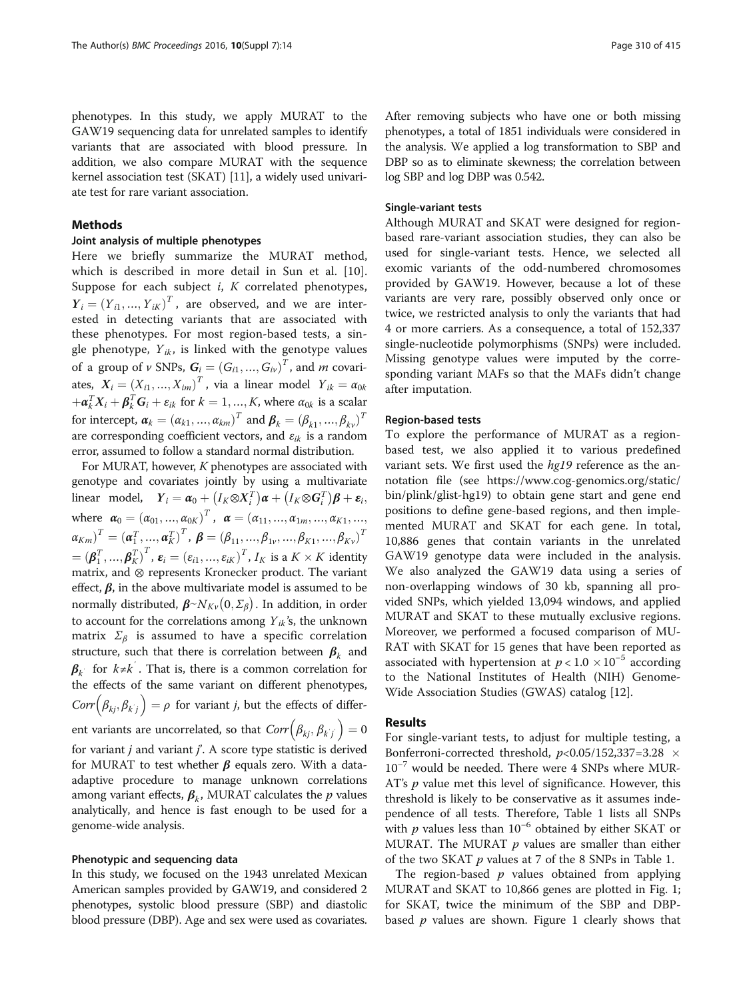phenotypes. In this study, we apply MURAT to the GAW19 sequencing data for unrelated samples to identify variants that are associated with blood pressure. In addition, we also compare MURAT with the sequence kernel association test (SKAT) [[11](#page-4-0)], a widely used univariate test for rare variant association.

## Methods

### Joint analysis of multiple phenotypes

Here we briefly summarize the MURAT method, which is described in more detail in Sun et al. [\[10](#page-4-0)]. Suppose for each subject  $i$ ,  $K$  correlated phenotypes,  $Y_i = (Y_{i1}, ..., Y_{iK})^T$ , are observed, and we are inter-<br>ested in detecting variants that are associated with ested in detecting variants that are associated with these phenotypes. For most region-based tests, a single phenotype,  $Y_{ik}$ , is linked with the genotype values of a group of v SNPs,  $G_i = (G_{i1}, ..., G_{iv})^T$ , and m covari-<br>the  $X = (X - Y)^T$  site a linear model  $X = X$ ates,  $X_i = (X_{i1}, ..., X_{im})^T$ , via a linear model  $Y_{ik} = \alpha_{0k}$  $+\boldsymbol{\alpha}_k^T \boldsymbol{X}_i + \boldsymbol{\beta}_k^T \boldsymbol{G}_i + \boldsymbol{\varepsilon}_{ik}$  for  $k = 1, ..., K$ , where  $\alpha_{0k}$  is a scalar for intercept,  $\boldsymbol{\alpha}_k = (\alpha_{k1}, ..., \alpha_{km})^T$  and  $\boldsymbol{\beta}_k = (\beta_{k1}, ..., \beta_{kv})^T$ are corresponding coefficient vectors, and  $\varepsilon_{ik}$  is a random error, assumed to follow a standard normal distribution.

For MURAT, however,  $K$  phenotypes are associated with genotype and covariates jointly by using a multivariate linear model,  $Y_i = \alpha_0 + (I_K \otimes X_i^T) \alpha + (I_K \otimes G_i^T) \beta + \varepsilon_i$ , where  $\alpha_0 = (\alpha_{01}, ..., \alpha_{0K})^T$ ,  $\alpha = (\alpha_{11}, ..., \alpha_{1m}, ..., \alpha_{K1}, ..., \alpha_{KK})^T$  $\alpha_{Km}$ <sup>T</sup> =  $(\alpha_1^T, ..., \alpha_K^T)^T$ ,  $\beta = (\beta_{11}, ..., \beta_{1V}, ..., \beta_{K1}, ..., \beta_{KV})^T$  $=(\boldsymbol{\beta}_1^T, ..., \boldsymbol{\beta}_K^T)^T, \boldsymbol{\varepsilon}_i = (\varepsilon_{i1}, ..., \varepsilon_{iK})^T, I_K$  is a  $K \times K$  identity<br>matrix and  $\otimes$  represents Kronecker product. The variant matrix, and ⊗ represents Kronecker product. The variant effect,  $\beta$ , in the above multivariate model is assumed to be normally distributed,  $\beta \sim N_{K\nu}(0, \Sigma_\beta)$ . In addition, in order<br>to account for the correlations among  $Y_{ik}$ 's, the unknown to account for the correlations among  $Y_{ik}$ 's, the unknown matrix  $\Sigma_{\beta}$  is assumed to have a specific correlation structure, such that there is correlation between  $\beta_k$  and  $\beta_k$  for  $k \neq k'$ . That is, there is a common correlation for<br>the effects of the same variant on different phanetypes the effects of the same variant on different phenotypes,  $Corr(\beta_{kj}, \beta_{k}) = \rho$  for variant *j*, but the effects of differj ent variants are uncorrelated, so that  $Corr(\beta_{kj}, \beta_{k'j'}) = 0$ for variant *j* and variant *j'*. A score type statistic is derived<br>for MURAT to test whether *B* equals zero. With a datafor MURAT to test whether  $\beta$  equals zero. With a dataadaptive procedure to manage unknown correlations among variant effects,  $\beta_k$ , MURAT calculates the p values analytically, and hence is fast enough to be used for a genome-wide analysis.

### Phenotypic and sequencing data

In this study, we focused on the 1943 unrelated Mexican American samples provided by GAW19, and considered 2 phenotypes, systolic blood pressure (SBP) and diastolic blood pressure (DBP). Age and sex were used as covariates.

After removing subjects who have one or both missing phenotypes, a total of 1851 individuals were considered in the analysis. We applied a log transformation to SBP and DBP so as to eliminate skewness; the correlation between log SBP and log DBP was 0.542.

#### Single-variant tests

Although MURAT and SKAT were designed for regionbased rare-variant association studies, they can also be used for single-variant tests. Hence, we selected all exomic variants of the odd-numbered chromosomes provided by GAW19. However, because a lot of these variants are very rare, possibly observed only once or twice, we restricted analysis to only the variants that had 4 or more carriers. As a consequence, a total of 152,337 single-nucleotide polymorphisms (SNPs) were included. Missing genotype values were imputed by the corresponding variant MAFs so that the MAFs didn't change after imputation.

### Region-based tests

To explore the performance of MURAT as a regionbased test, we also applied it to various predefined variant sets. We first used the hg19 reference as the annotation file (see [https://www.cog-genomics.org/static/](https://www.cog-genomics.org/static/bin/plink/glist-hg19) [bin/plink/glist-hg19\)](https://www.cog-genomics.org/static/bin/plink/glist-hg19) to obtain gene start and gene end positions to define gene-based regions, and then implemented MURAT and SKAT for each gene. In total, 10,886 genes that contain variants in the unrelated GAW19 genotype data were included in the analysis. We also analyzed the GAW19 data using a series of non-overlapping windows of 30 kb, spanning all provided SNPs, which yielded 13,094 windows, and applied MURAT and SKAT to these mutually exclusive regions. Moreover, we performed a focused comparison of MU-RAT with SKAT for 15 genes that have been reported as associated with hypertension at  $p < 1.0 \times 10^{-5}$  according<br>to the National Institutes of Health (NIH) Genometo the National Institutes of Health (NIH) Genome-Wide Association Studies (GWAS) catalog [[12\]](#page-4-0).

## Results

For single-variant tests, to adjust for multiple testing, a Bonferroni-corrected threshold,  $p<0.05/152,337=3.28 \times 10^{-7}$  would be needed. There were A SNPs where MUR-10−<sup>7</sup> would be needed. There were 4 SNPs where MUR-AT's  $p$  value met this level of significance. However, this threshold is likely to be conservative as it assumes independence of all tests. Therefore, Table [1](#page-2-0) lists all SNPs with *p* values less than 10<sup>-6</sup> obtained by either SKAT or MURAT. The MURAT  $p$  values are smaller than either of the two SKAT  $p$  values at 7 of the 8 SNPs in Table [1](#page-2-0).

The region-based  $p$  values obtained from applying MURAT and SKAT to 10,866 genes are plotted in Fig. [1](#page-2-0); for SKAT, twice the minimum of the SBP and DBPbased  $p$  values are shown. Figure [1](#page-2-0) clearly shows that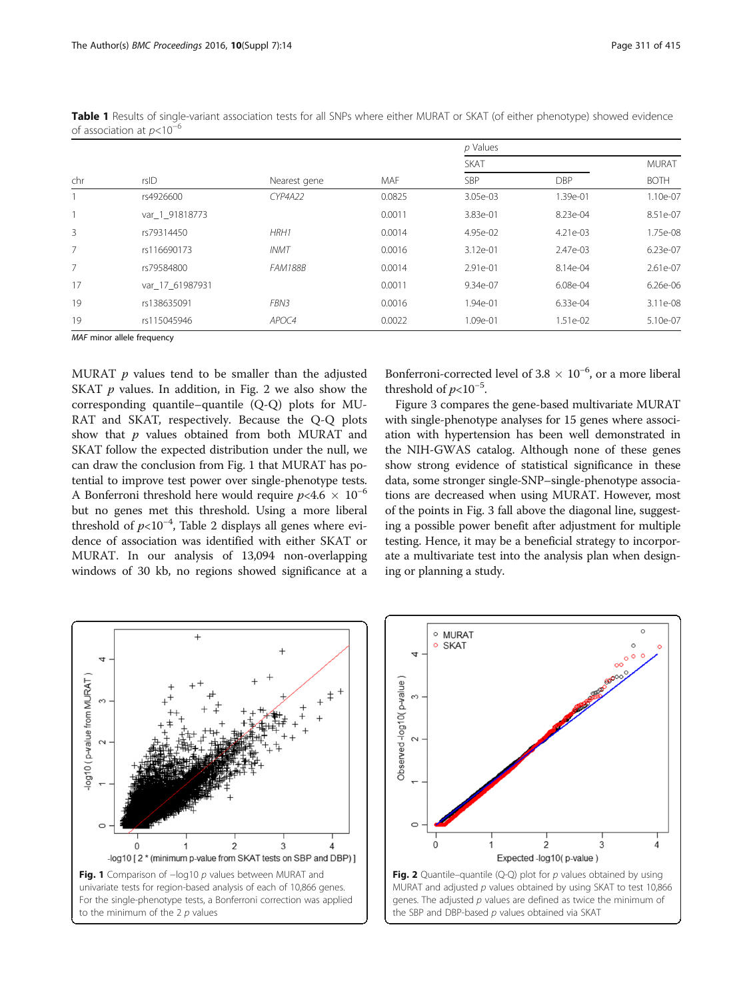| chr | rsID            | Nearest gene   | MAF    | $\nu$ values |            |              |
|-----|-----------------|----------------|--------|--------------|------------|--------------|
|     |                 |                |        | <b>SKAT</b>  |            | <b>MURAT</b> |
|     |                 |                |        | SBP          | <b>DBP</b> | <b>BOTH</b>  |
|     | rs4926600       | <b>CYP4A22</b> | 0.0825 | 3.05e-03     | 1.39e-01   | 1.10e-07     |
|     | var 1 91818773  |                | 0.0011 | 3.83e-01     | 8.23e-04   | 8.51e-07     |
| 3   | rs79314450      | HRH1           | 0.0014 | 4.95e-02     | 4.21e-03   | 1.75e-08     |
| 7   | rs116690173     | <b>INMT</b>    | 0.0016 | 3.12e-01     | 2.47e-03   | 6.23e-07     |
| 7   | rs79584800      | <b>FAM188B</b> | 0.0014 | 2.91e-01     | 8.14e-04   | 2.61e-07     |
| 17  | var 17 61987931 |                | 0.0011 | 9.34e-07     | 6.08e-04   | 6.26e-06     |
| 19  | rs138635091     | FBN3           | 0.0016 | 1.94e-01     | 6.33e-04   | 3.11e-08     |
| 19  | rs115045946     | APOC4          | 0.0022 | 1.09e-01     | 1.51e-02   | 5.10e-07     |

<span id="page-2-0"></span>Table 1 Results of single-variant association tests for all SNPs where either MURAT or SKAT (of either phenotype) showed evidence of association at  $p<10^{-6}$ 

MAF minor allele frequency

MURAT  $p$  values tend to be smaller than the adjusted SKAT  $p$  values. In addition, in Fig. 2 we also show the corresponding quantile–quantile (Q-Q) plots for MU-RAT and SKAT, respectively. Because the Q-Q plots show that  $p$  values obtained from both MURAT and SKAT follow the expected distribution under the null, we can draw the conclusion from Fig. 1 that MURAT has potential to improve test power over single-phenotype tests. A Bonferroni threshold here would require  $p<4.6 \times 10^{-6}$ <br>but no genes met this threshold Lising a more liberal but no genes met this threshold. Using a more liberal threshold of  $p<10^{-4}$ , Table [2](#page-3-0) displays all genes where evi-<br>dence of association was identified with either SKAT or dence of association was identified with either SKAT or MURAT. In our analysis of 13,094 non-overlapping windows of 30 kb, no regions showed significance at a Bonferroni-corrected level of 3.8  $\times$  10<sup>-6</sup>, or a more liberal threshold of  $p<10^{-5}$ .<br>Eigure 3 compares

p Values

Figure [3](#page-3-0) compares the gene-based multivariate MURAT with single-phenotype analyses for 15 genes where association with hypertension has been well demonstrated in the NIH-GWAS catalog. Although none of these genes show strong evidence of statistical significance in these data, some stronger single-SNP–single-phenotype associations are decreased when using MURAT. However, most of the points in Fig. [3](#page-3-0) fall above the diagonal line, suggesting a possible power benefit after adjustment for multiple testing. Hence, it may be a beneficial strategy to incorporate a multivariate test into the analysis plan when designing or planning a study.





the SBP and DBP-based  $p$  values obtained via SKAT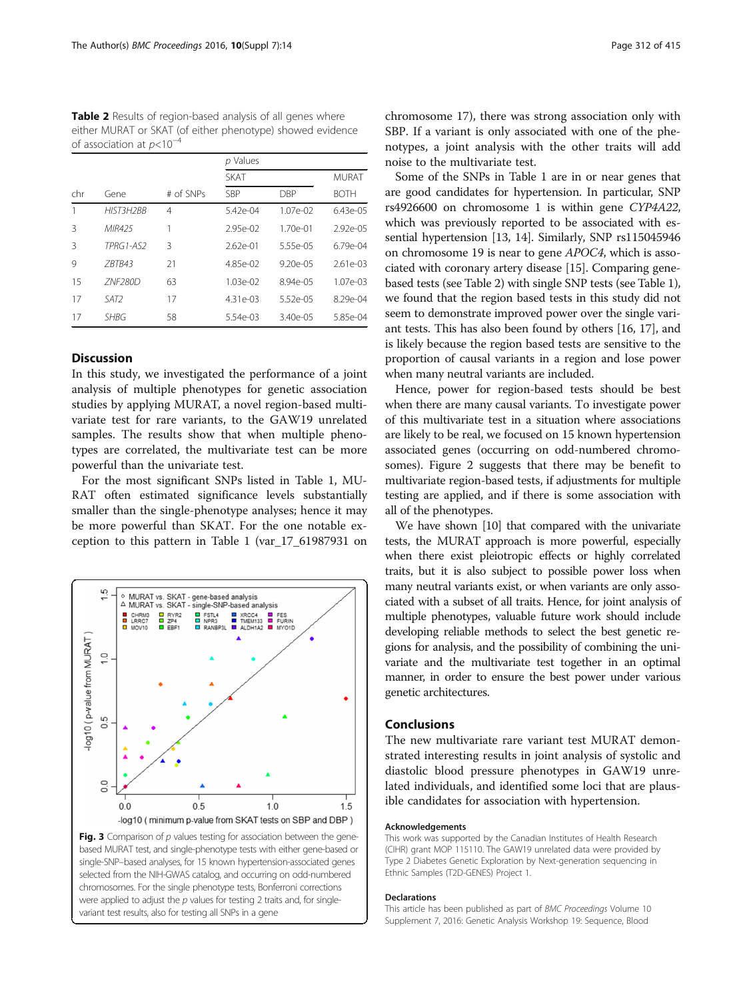<span id="page-3-0"></span>Table 2 Results of region-based analysis of all genes where either MURAT or SKAT (of either phenotype) showed evidence of association at  $p$ <10<sup>-4</sup>

|     |                |           | p Values     |               |              |  |  |
|-----|----------------|-----------|--------------|---------------|--------------|--|--|
|     |                |           | <b>SKAT</b>  | MURAT         |              |  |  |
| chr | Gene           | # of SNPs | SBP          | DBP           | <b>BOTH</b>  |  |  |
|     | HIST3H2BB      | 4         | $5.42e - 04$ | $1.07e-02$    | $6.43e-05$   |  |  |
| 3   | MIR425         | 1         | $2.95e-02$   | $1.70e-01$    | $2.92e-05$   |  |  |
| 3   | TPRG1-AS2      | 3         | $2.62e - 01$ | 5.55e-05      | $6.79e-04$   |  |  |
| 9   | 7BTB43         | 21        | $4.85e-02$   | $9.20e - 0.5$ | $2.61e - 03$ |  |  |
| 15  | <b>ZNF280D</b> | 63        | $1.03e-02$   | $8.94e - 0.5$ | $1.07e-03$   |  |  |
| 17  | SAT2           | 17        | $4.31e-03$   | $5.52e-05$    | $8.29e-04$   |  |  |
| 17  | <b>SHBG</b>    | 58        | 5.54e-03     | $3.40e - 0.5$ | 5.85e-04     |  |  |

## **Discussion**

In this study, we investigated the performance of a joint analysis of multiple phenotypes for genetic association studies by applying MURAT, a novel region-based multivariate test for rare variants, to the GAW19 unrelated samples. The results show that when multiple phenotypes are correlated, the multivariate test can be more powerful than the univariate test.

For the most significant SNPs listed in Table [1](#page-2-0), MU-RAT often estimated significance levels substantially smaller than the single-phenotype analyses; hence it may be more powerful than SKAT. For the one notable exception to this pattern in Table [1](#page-2-0) (var\_17\_61987931 on



chromosome 17), there was strong association only with SBP. If a variant is only associated with one of the phenotypes, a joint analysis with the other traits will add noise to the multivariate test.

Some of the SNPs in Table [1](#page-2-0) are in or near genes that are good candidates for hypertension. In particular, SNP rs4926600 on chromosome 1 is within gene CYP4A22, which was previously reported to be associated with essential hypertension [\[13, 14](#page-4-0)]. Similarly, SNP rs115045946 on chromosome 19 is near to gene APOC4, which is associated with coronary artery disease [[15](#page-4-0)]. Comparing genebased tests (see Table 2) with single SNP tests (see Table [1](#page-2-0)), we found that the region based tests in this study did not seem to demonstrate improved power over the single variant tests. This has also been found by others [\[16, 17\]](#page-4-0), and is likely because the region based tests are sensitive to the proportion of causal variants in a region and lose power when many neutral variants are included.

Hence, power for region-based tests should be best when there are many causal variants. To investigate power of this multivariate test in a situation where associations are likely to be real, we focused on 15 known hypertension associated genes (occurring on odd-numbered chromosomes). Figure [2](#page-2-0) suggests that there may be benefit to multivariate region-based tests, if adjustments for multiple testing are applied, and if there is some association with all of the phenotypes.

We have shown [\[10\]](#page-4-0) that compared with the univariate tests, the MURAT approach is more powerful, especially when there exist pleiotropic effects or highly correlated traits, but it is also subject to possible power loss when many neutral variants exist, or when variants are only associated with a subset of all traits. Hence, for joint analysis of multiple phenotypes, valuable future work should include developing reliable methods to select the best genetic regions for analysis, and the possibility of combining the univariate and the multivariate test together in an optimal manner, in order to ensure the best power under various genetic architectures.

### Conclusions

The new multivariate rare variant test MURAT demonstrated interesting results in joint analysis of systolic and diastolic blood pressure phenotypes in GAW19 unrelated individuals, and identified some loci that are plausible candidates for association with hypertension.

#### Acknowledgements

This work was supported by the Canadian Institutes of Health Research (CIHR) grant MOP 115110. The GAW19 unrelated data were provided by Type 2 Diabetes Genetic Exploration by Next-generation sequencing in Ethnic Samples (T2D-GENES) Project 1.

#### Declarations

This article has been published as part of BMC Proceedings Volume 10 Supplement 7, 2016: Genetic Analysis Workshop 19: Sequence, Blood